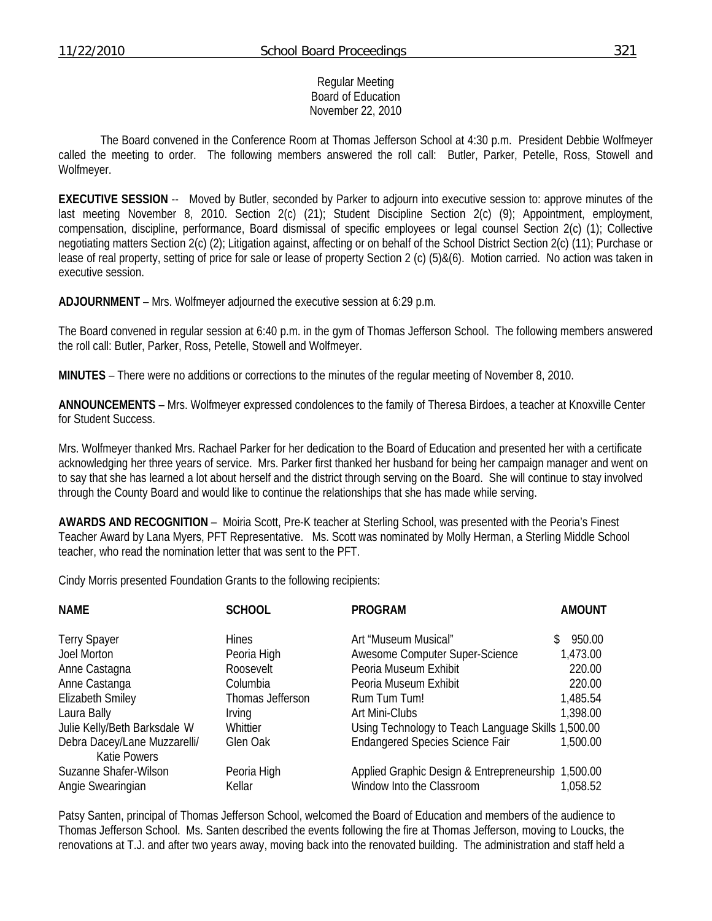#### Regular Meeting Board of Education November 22, 2010

 The Board convened in the Conference Room at Thomas Jefferson School at 4:30 p.m. President Debbie Wolfmeyer called the meeting to order. The following members answered the roll call: Butler, Parker, Petelle, Ross, Stowell and Wolfmeyer.

**EXECUTIVE SESSION** -- Moved by Butler, seconded by Parker to adjourn into executive session to: approve minutes of the last meeting November 8, 2010. Section 2(c) (21); Student Discipline Section 2(c) (9); Appointment, employment, compensation, discipline, performance, Board dismissal of specific employees or legal counsel Section 2(c) (1); Collective negotiating matters Section 2(c) (2); Litigation against, affecting or on behalf of the School District Section 2(c) (11); Purchase or lease of real property, setting of price for sale or lease of property Section 2 (c) (5)&(6). Motion carried. No action was taken in executive session.

**ADJOURNMENT** – Mrs. Wolfmeyer adjourned the executive session at 6:29 p.m.

The Board convened in regular session at 6:40 p.m. in the gym of Thomas Jefferson School. The following members answered the roll call: Butler, Parker, Ross, Petelle, Stowell and Wolfmeyer.

**MINUTES** – There were no additions or corrections to the minutes of the regular meeting of November 8, 2010.

**ANNOUNCEMENTS** – Mrs. Wolfmeyer expressed condolences to the family of Theresa Birdoes, a teacher at Knoxville Center for Student Success.

Mrs. Wolfmeyer thanked Mrs. Rachael Parker for her dedication to the Board of Education and presented her with a certificate acknowledging her three years of service. Mrs. Parker first thanked her husband for being her campaign manager and went on to say that she has learned a lot about herself and the district through serving on the Board. She will continue to stay involved through the County Board and would like to continue the relationships that she has made while serving.

**AWARDS AND RECOGNITION** – Moiria Scott, Pre-K teacher at Sterling School, was presented with the Peoria's Finest Teacher Award by Lana Myers, PFT Representative. Ms. Scott was nominated by Molly Herman, a Sterling Middle School teacher, who read the nomination letter that was sent to the PFT.

Cindy Morris presented Foundation Grants to the following recipients:

| <b>NAME</b>                                         | <b>SCHOOL</b>         | <b>PROGRAM</b>                                                                  | <b>AMOUNT</b> |
|-----------------------------------------------------|-----------------------|---------------------------------------------------------------------------------|---------------|
| <b>Terry Spayer</b>                                 | <b>Hines</b>          | Art "Museum Musical"                                                            | 950.00        |
| Joel Morton                                         | Peoria High           | Awesome Computer Super-Science                                                  | 1,473.00      |
| Anne Castagna                                       | Roosevelt             | Peoria Museum Exhibit                                                           | 220.00        |
| Anne Castanga                                       | Columbia              | Peoria Museum Exhibit                                                           | 220.00        |
| <b>Elizabeth Smiley</b>                             | Thomas Jefferson      | Rum Tum Tum!                                                                    | 1,485.54      |
| Laura Bally                                         | <i>Irving</i>         | Art Mini-Clubs                                                                  | 1,398.00      |
| Julie Kelly/Beth Barksdale W                        | Whittier              | Using Technology to Teach Language Skills 1,500.00                              |               |
| Debra Dacey/Lane Muzzarelli/<br><b>Katie Powers</b> | Glen Oak              | <b>Endangered Species Science Fair</b>                                          | 1,500.00      |
| Suzanne Shafer-Wilson<br>Angie Swearingian          | Peoria High<br>Kellar | Applied Graphic Design & Entrepreneurship 1,500.00<br>Window Into the Classroom | 1,058.52      |

Patsy Santen, principal of Thomas Jefferson School, welcomed the Board of Education and members of the audience to Thomas Jefferson School. Ms. Santen described the events following the fire at Thomas Jefferson, moving to Loucks, the renovations at T.J. and after two years away, moving back into the renovated building. The administration and staff held a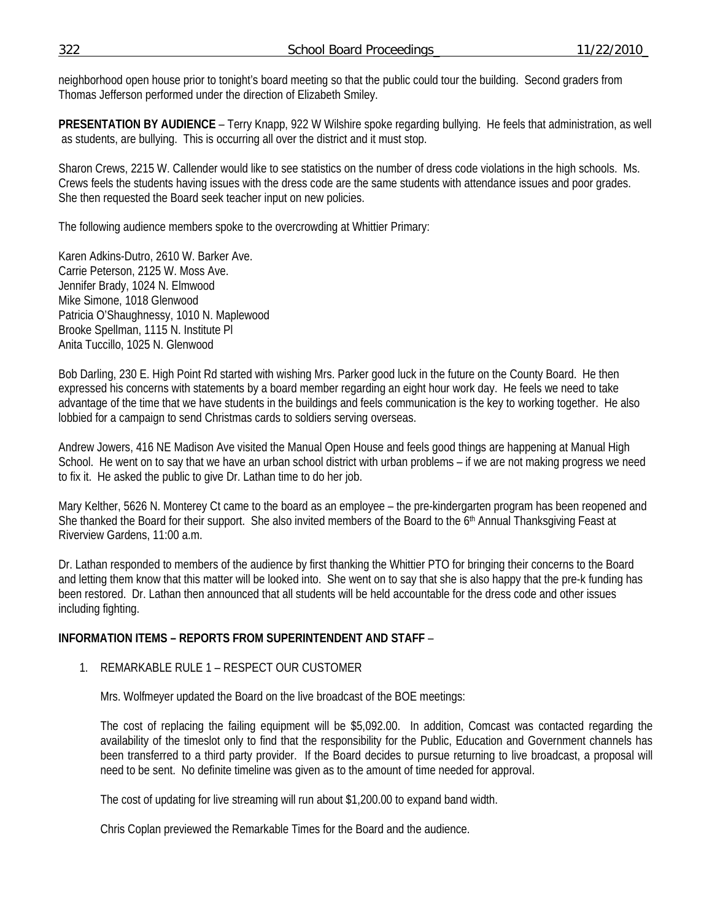neighborhood open house prior to tonight's board meeting so that the public could tour the building. Second graders from Thomas Jefferson performed under the direction of Elizabeth Smiley.

**PRESENTATION BY AUDIENCE** – Terry Knapp, 922 W Wilshire spoke regarding bullying. He feels that administration, as well as students, are bullying. This is occurring all over the district and it must stop.

Sharon Crews, 2215 W. Callender would like to see statistics on the number of dress code violations in the high schools. Ms. Crews feels the students having issues with the dress code are the same students with attendance issues and poor grades. She then requested the Board seek teacher input on new policies.

The following audience members spoke to the overcrowding at Whittier Primary:

Karen Adkins-Dutro, 2610 W. Barker Ave. Carrie Peterson, 2125 W. Moss Ave. Jennifer Brady, 1024 N. Elmwood Mike Simone, 1018 Glenwood Patricia O'Shaughnessy, 1010 N. Maplewood Brooke Spellman, 1115 N. Institute Pl Anita Tuccillo, 1025 N. Glenwood

Bob Darling, 230 E. High Point Rd started with wishing Mrs. Parker good luck in the future on the County Board. He then expressed his concerns with statements by a board member regarding an eight hour work day. He feels we need to take advantage of the time that we have students in the buildings and feels communication is the key to working together. He also lobbied for a campaign to send Christmas cards to soldiers serving overseas.

Andrew Jowers, 416 NE Madison Ave visited the Manual Open House and feels good things are happening at Manual High School. He went on to say that we have an urban school district with urban problems – if we are not making progress we need to fix it. He asked the public to give Dr. Lathan time to do her job.

Mary Kelther, 5626 N. Monterey Ct came to the board as an employee – the pre-kindergarten program has been reopened and She thanked the Board for their support. She also invited members of the Board to the  $6<sup>th</sup>$  Annual Thanksgiving Feast at Riverview Gardens, 11:00 a.m.

Dr. Lathan responded to members of the audience by first thanking the Whittier PTO for bringing their concerns to the Board and letting them know that this matter will be looked into. She went on to say that she is also happy that the pre-k funding has been restored. Dr. Lathan then announced that all students will be held accountable for the dress code and other issues including fighting.

## **INFORMATION ITEMS – REPORTS FROM SUPERINTENDENT AND STAFF** –

## 1. REMARKABLE RULE 1 – RESPECT OUR CUSTOMER

Mrs. Wolfmeyer updated the Board on the live broadcast of the BOE meetings:

The cost of replacing the failing equipment will be \$5,092.00. In addition, Comcast was contacted regarding the availability of the timeslot only to find that the responsibility for the Public, Education and Government channels has been transferred to a third party provider. If the Board decides to pursue returning to live broadcast, a proposal will need to be sent. No definite timeline was given as to the amount of time needed for approval.

The cost of updating for live streaming will run about \$1,200.00 to expand band width.

Chris Coplan previewed the Remarkable Times for the Board and the audience.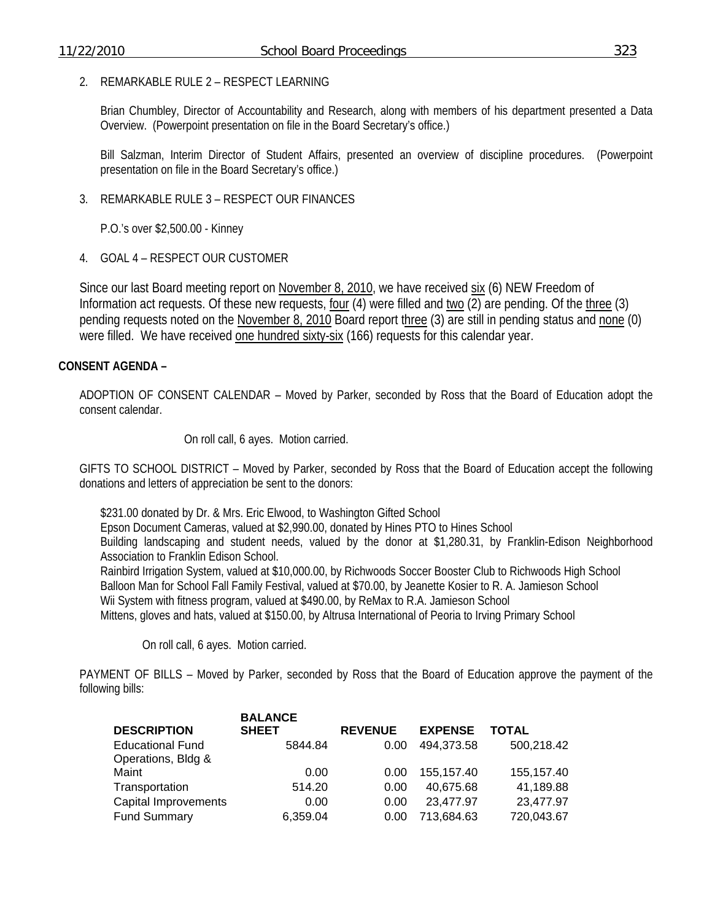### 2. REMARKABLE RULE 2 – RESPECT LEARNING

Brian Chumbley, Director of Accountability and Research, along with members of his department presented a Data Overview. (Powerpoint presentation on file in the Board Secretary's office.)

Bill Salzman, Interim Director of Student Affairs, presented an overview of discipline procedures. (Powerpoint presentation on file in the Board Secretary's office.)

3. REMARKABLE RULE 3 – RESPECT OUR FINANCES

P.O.'s over \$2,500.00 - Kinney

4. GOAL 4 – RESPECT OUR CUSTOMER

Since our last Board meeting report on November 8, 2010, we have received six (6) NEW Freedom of Information act requests. Of these new requests, four (4) were filled and two (2) are pending. Of the three (3) pending requests noted on the November 8, 2010 Board report three (3) are still in pending status and none (0) were filled. We have received one hundred sixty-six (166) requests for this calendar year.

### **CONSENT AGENDA –**

ADOPTION OF CONSENT CALENDAR – Moved by Parker, seconded by Ross that the Board of Education adopt the consent calendar.

On roll call, 6 ayes. Motion carried.

GIFTS TO SCHOOL DISTRICT – Moved by Parker, seconded by Ross that the Board of Education accept the following donations and letters of appreciation be sent to the donors:

 \$231.00 donated by Dr. & Mrs. Eric Elwood, to Washington Gifted School Epson Document Cameras, valued at \$2,990.00, donated by Hines PTO to Hines School Building landscaping and student needs, valued by the donor at \$1,280.31, by Franklin-Edison Neighborhood Association to Franklin Edison School. Rainbird Irrigation System, valued at \$10,000.00, by Richwoods Soccer Booster Club to Richwoods High School Balloon Man for School Fall Family Festival, valued at \$70.00, by Jeanette Kosier to R. A. Jamieson School Wii System with fitness program, valued at \$490.00, by ReMax to R.A. Jamieson School Mittens, gloves and hats, valued at \$150.00, by Altrusa International of Peoria to Irving Primary School

On roll call, 6 ayes. Motion carried.

PAYMENT OF BILLS – Moved by Parker, seconded by Ross that the Board of Education approve the payment of the following bills:

|                         | <b>BALANCE</b> |                |                |            |
|-------------------------|----------------|----------------|----------------|------------|
| <b>DESCRIPTION</b>      | <b>SHEET</b>   | <b>REVENUE</b> | <b>EXPENSE</b> | TOTAL      |
| <b>Educational Fund</b> | 5844.84        | 0.00           | 494,373.58     | 500,218.42 |
| Operations, Bldg &      |                |                |                |            |
| Maint                   | 0.00           | 0.00           | 155.157.40     | 155,157.40 |
| Transportation          | 514.20         | 0.00           | 40,675.68      | 41,189.88  |
| Capital Improvements    | 0.00           | 0.00           | 23,477.97      | 23,477.97  |
| <b>Fund Summary</b>     | 6,359.04       | 0.00           | 713,684.63     | 720,043.67 |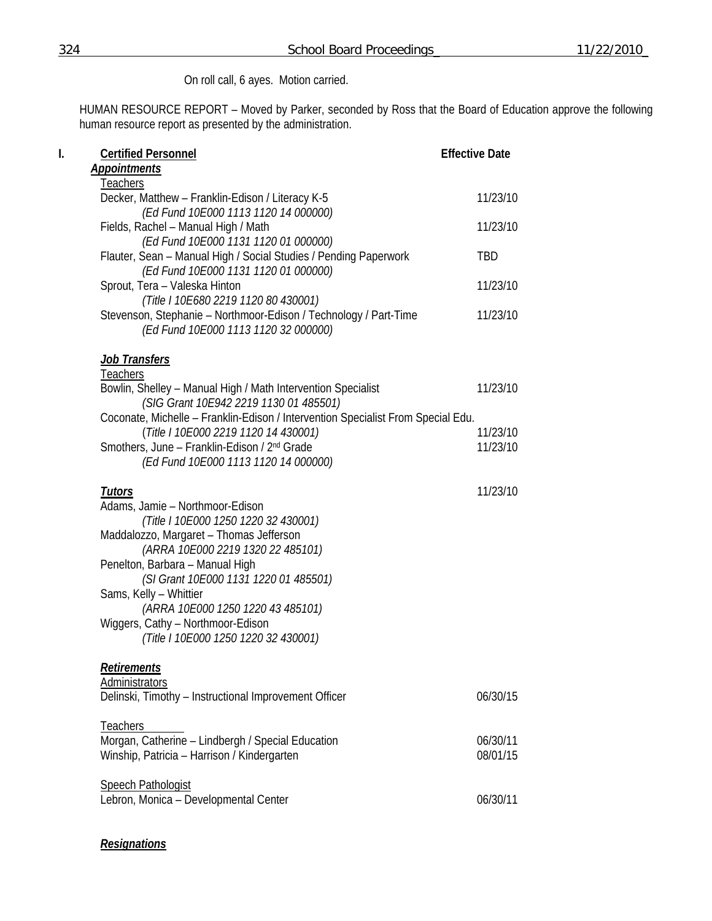# On roll call, 6 ayes. Motion carried.

HUMAN RESOURCE REPORT – Moved by Parker, seconded by Ross that the Board of Education approve the following human resource report as presented by the administration.

| I. | <b>Certified Personnel</b><br><b>Appointments</b>                                                                                                | <b>Effective Date</b> |
|----|--------------------------------------------------------------------------------------------------------------------------------------------------|-----------------------|
|    |                                                                                                                                                  |                       |
|    | <b>Teachers</b><br>Decker, Matthew - Franklin-Edison / Literacy K-5                                                                              | 11/23/10              |
|    | (Ed Fund 10E000 1113 1120 14 000000)<br>Fields, Rachel - Manual High / Math                                                                      | 11/23/10              |
|    | (Ed Fund 10E000 1131 1120 01 000000)<br>Flauter, Sean - Manual High / Social Studies / Pending Paperwork                                         | <b>TBD</b>            |
|    | (Ed Fund 10E000 1131 1120 01 000000)<br>Sprout, Tera - Valeska Hinton                                                                            | 11/23/10              |
|    | (Title I 10E680 2219 1120 80 430001)<br>Stevenson, Stephanie - Northmoor-Edison / Technology / Part-Time<br>(Ed Fund 10E000 1113 1120 32 000000) | 11/23/10              |
|    | Job Transfers<br><b>Teachers</b>                                                                                                                 |                       |
|    | Bowlin, Shelley - Manual High / Math Intervention Specialist<br>(SIG Grant 10E942 2219 1130 01 485501)                                           | 11/23/10              |
|    | Coconate, Michelle - Franklin-Edison / Intervention Specialist From Special Edu.<br>(Title I 10E000 2219 1120 14 430001)                         | 11/23/10              |
|    | Smothers, June - Franklin-Edison / 2 <sup>nd</sup> Grade<br>(Ed Fund 10E000 1113 1120 14 000000)                                                 | 11/23/10              |
|    | <u>Tutors</u>                                                                                                                                    | 11/23/10              |
|    | Adams, Jamie - Northmoor-Edison<br>(Title I 10E000 1250 1220 32 430001)                                                                          |                       |
|    | Maddalozzo, Margaret - Thomas Jefferson<br>(ARRA 10E000 2219 1320 22 485101)                                                                     |                       |
|    | Penelton, Barbara - Manual High<br>(SI Grant 10E000 1131 1220 01 485501)                                                                         |                       |
|    | Sams, Kelly - Whittier<br>(ARRA 10E000 1250 1220 43 485101)                                                                                      |                       |
|    | Wiggers, Cathy - Northmoor-Edison<br>(Title I 10E000 1250 1220 32 430001)                                                                        |                       |
|    | <b>Retirements</b>                                                                                                                               |                       |
|    | Administrators<br>Delinski, Timothy - Instructional Improvement Officer                                                                          | 06/30/15              |
|    | Teachers                                                                                                                                         |                       |
|    | Morgan, Catherine - Lindbergh / Special Education<br>Winship, Patricia - Harrison / Kindergarten                                                 | 06/30/11<br>08/01/15  |
|    | <b>Speech Pathologist</b>                                                                                                                        |                       |
|    | Lebron, Monica - Developmental Center                                                                                                            | 06/30/11              |

## *Resignations*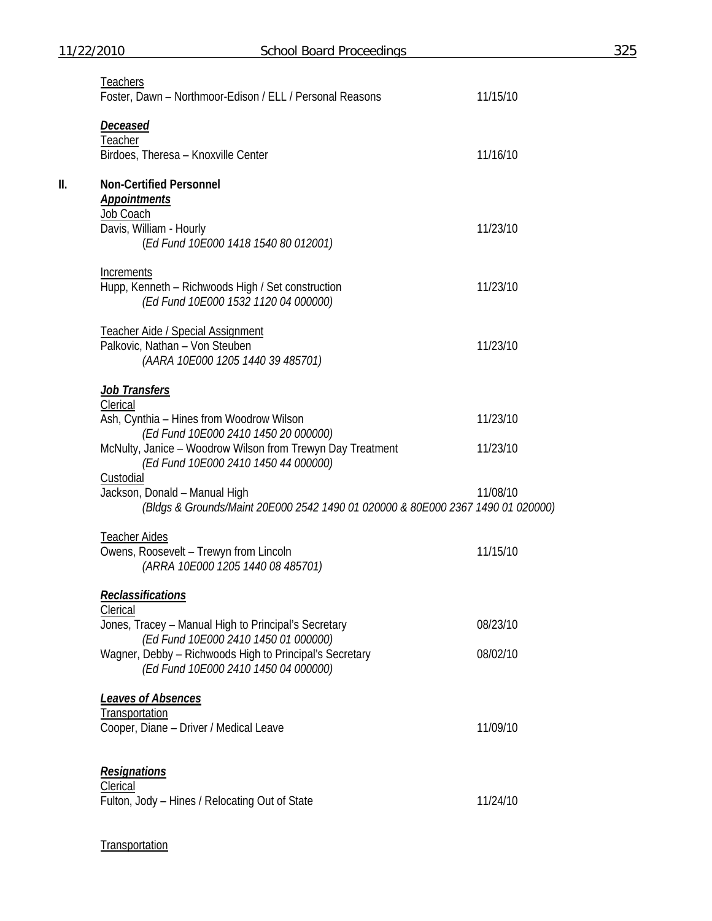|     | Teachers<br>Foster, Dawn - Northmoor-Edison / ELL / Personal Reasons                                                                       | 11/15/10 |
|-----|--------------------------------------------------------------------------------------------------------------------------------------------|----------|
|     | <u>Deceased</u><br>Teacher                                                                                                                 |          |
|     | Birdoes, Theresa - Knoxville Center                                                                                                        | 11/16/10 |
| II. | <b>Non-Certified Personnel</b><br><b>Appointments</b>                                                                                      |          |
|     | Job Coach<br>Davis, William - Hourly<br>(Ed Fund 10E000 1418 1540 80 012001)                                                               | 11/23/10 |
|     | Increments<br>Hupp, Kenneth - Richwoods High / Set construction<br>(Ed Fund 10E000 1532 1120 04 000000)                                    | 11/23/10 |
|     | <b>Teacher Aide / Special Assignment</b><br>Palkovic, Nathan - Von Steuben<br>(AARA 10E000 1205 1440 39 485701)                            | 11/23/10 |
|     | <u>Job Transfers</u>                                                                                                                       |          |
|     | Clerical<br>Ash, Cynthia - Hines from Woodrow Wilson                                                                                       | 11/23/10 |
|     | (Ed Fund 10E000 2410 1450 20 000000)<br>McNulty, Janice - Woodrow Wilson from Trewyn Day Treatment<br>(Ed Fund 10E000 2410 1450 44 000000) | 11/23/10 |
|     | <b>Custodial</b><br>Jackson, Donald - Manual High<br>(Bldgs & Grounds/Maint 20E000 2542 1490 01 020000 & 80E000 2367 1490 01 020000)       | 11/08/10 |
|     | <b>Teacher Aides</b><br>Owens, Roosevelt - Trewyn from Lincoln<br>(ARRA 10E000 1205 1440 08 485701)                                        | 11/15/10 |
|     | Reclassifications<br><b>Clerical</b>                                                                                                       |          |
|     | Jones, Tracey - Manual High to Principal's Secretary<br>(Ed Fund 10E000 2410 1450 01 000000)                                               | 08/23/10 |
|     | Wagner, Debby - Richwoods High to Principal's Secretary<br>(Ed Fund 10E000 2410 1450 04 000000)                                            | 08/02/10 |
|     | Leaves of Absences<br>Transportation<br>Cooper, Diane - Driver / Medical Leave                                                             | 11/09/10 |
|     | <b>Resignations</b><br>Clerical                                                                                                            |          |
|     | Fulton, Jody - Hines / Relocating Out of State                                                                                             | 11/24/10 |

# **Transportation**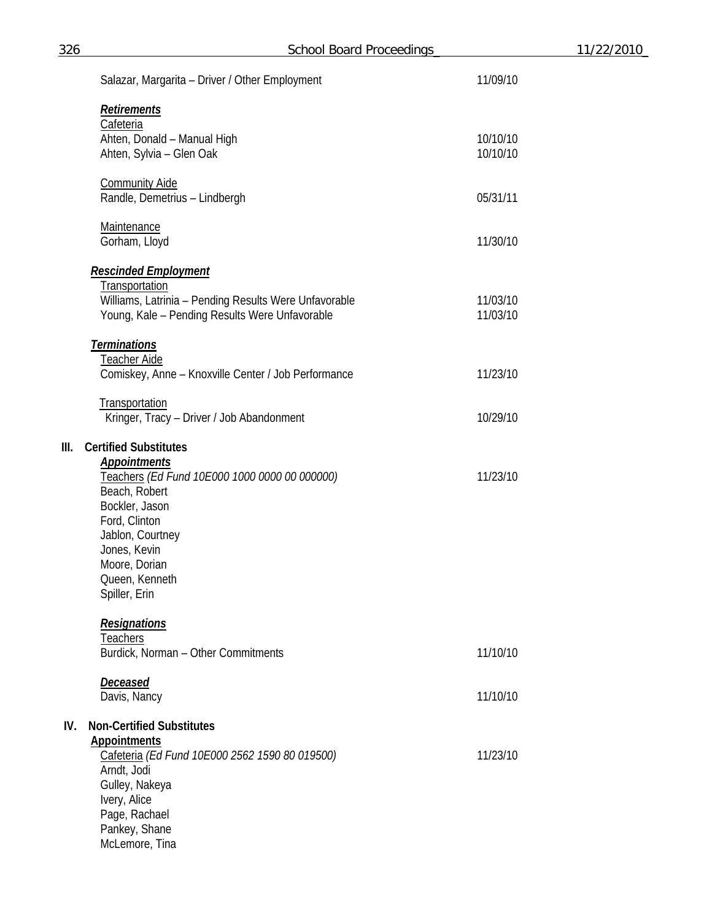| 326  | <b>School Board Proceedings</b>                                         |          | 11/22/2010_ |
|------|-------------------------------------------------------------------------|----------|-------------|
|      | Salazar, Margarita - Driver / Other Employment                          | 11/09/10 |             |
|      | <b>Retirements</b><br>Cafeteria                                         |          |             |
|      | Ahten, Donald - Manual High                                             | 10/10/10 |             |
|      | Ahten, Sylvia - Glen Oak                                                | 10/10/10 |             |
|      | <b>Community Aide</b><br>Randle, Demetrius - Lindbergh                  | 05/31/11 |             |
|      | <b>Maintenance</b><br>Gorham, Lloyd                                     | 11/30/10 |             |
|      | <b>Rescinded Employment</b>                                             |          |             |
|      | Transportation<br>Williams, Latrinia - Pending Results Were Unfavorable | 11/03/10 |             |
|      | Young, Kale - Pending Results Were Unfavorable                          | 11/03/10 |             |
|      | <b>Terminations</b><br><b>Teacher Aide</b>                              |          |             |
|      | Comiskey, Anne - Knoxville Center / Job Performance                     | 11/23/10 |             |
|      | Transportation<br>Kringer, Tracy - Driver / Job Abandonment             | 10/29/10 |             |
| III. | <b>Certified Substitutes</b>                                            |          |             |
|      | <b>Appointments</b><br>Teachers (Ed Fund 10E000 1000 0000 00 000000)    | 11/23/10 |             |
|      | Beach, Robert<br>Bockler, Jason                                         |          |             |
|      | Ford, Clinton                                                           |          |             |
|      | Jablon, Courtney<br>Jones, Kevin                                        |          |             |
|      | Moore, Dorian                                                           |          |             |
|      | Queen, Kenneth<br>Spiller, Erin                                         |          |             |
|      |                                                                         |          |             |
|      | <b>Resignations</b><br>Teachers                                         |          |             |
|      | Burdick, Norman - Other Commitments                                     | 11/10/10 |             |
|      | <b>Deceased</b>                                                         |          |             |
|      | Davis, Nancy                                                            | 11/10/10 |             |
| IV.  | <b>Non-Certified Substitutes</b>                                        |          |             |
|      | <b>Appointments</b><br>Cafeteria (Ed Fund 10E000 2562 1590 80 019500)   | 11/23/10 |             |
|      | Arndt, Jodi                                                             |          |             |
|      | Gulley, Nakeya<br>Ivery, Alice                                          |          |             |
|      | Page, Rachael                                                           |          |             |
|      | Pankey, Shane<br>McLemore, Tina                                         |          |             |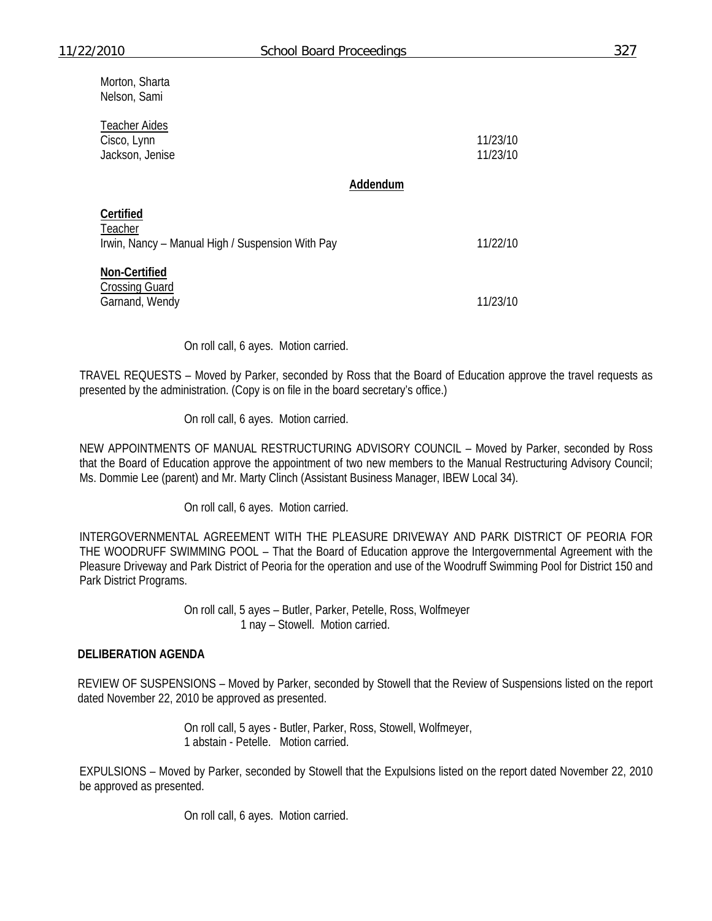Morton, Sharta Nelson, Sami

| <b>Teacher Aides</b><br>Cisco, Lynn<br>Jackson, Jenise                   |          | 11/23/10<br>11/23/10 |
|--------------------------------------------------------------------------|----------|----------------------|
|                                                                          | Addendum |                      |
| Certified<br>Teacher<br>Irwin, Nancy - Manual High / Suspension With Pay |          | 11/22/10             |

**Non-Certified**

Crossing Guard Garnand, Wendy 11/23/10

On roll call, 6 ayes. Motion carried.

TRAVEL REQUESTS – Moved by Parker, seconded by Ross that the Board of Education approve the travel requests as presented by the administration. (Copy is on file in the board secretary's office.)

On roll call, 6 ayes. Motion carried.

NEW APPOINTMENTS OF MANUAL RESTRUCTURING ADVISORY COUNCIL – Moved by Parker, seconded by Ross that the Board of Education approve the appointment of two new members to the Manual Restructuring Advisory Council; Ms. Dommie Lee (parent) and Mr. Marty Clinch (Assistant Business Manager, IBEW Local 34).

On roll call, 6 ayes. Motion carried.

INTERGOVERNMENTAL AGREEMENT WITH THE PLEASURE DRIVEWAY AND PARK DISTRICT OF PEORIA FOR THE WOODRUFF SWIMMING POOL – That the Board of Education approve the Intergovernmental Agreement with the Pleasure Driveway and Park District of Peoria for the operation and use of the Woodruff Swimming Pool for District 150 and Park District Programs.

> On roll call, 5 ayes – Butler, Parker, Petelle, Ross, Wolfmeyer 1 nay – Stowell. Motion carried.

#### **DELIBERATION AGENDA**

REVIEW OF SUSPENSIONS – Moved by Parker, seconded by Stowell that the Review of Suspensions listed on the report dated November 22, 2010 be approved as presented.

> On roll call, 5 ayes - Butler, Parker, Ross, Stowell, Wolfmeyer, 1 abstain - Petelle. Motion carried.

EXPULSIONS – Moved by Parker, seconded by Stowell that the Expulsions listed on the report dated November 22, 2010 be approved as presented.

On roll call, 6 ayes. Motion carried.